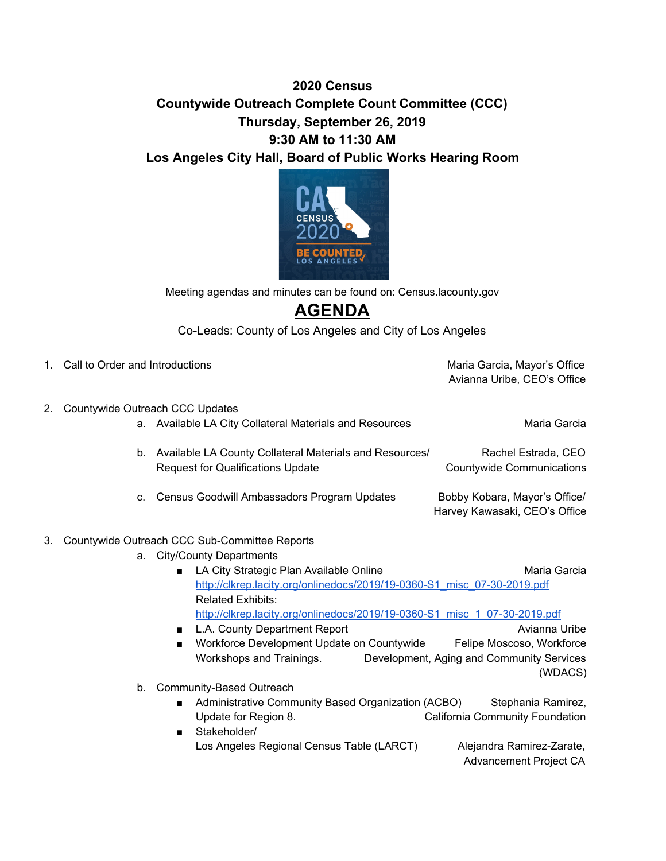## **2020 Census Countywide Outreach Complete Count Committee (CCC) Thursday, September 26, 2019 9:30 AM to 11:30 AM Los Angeles City Hall, Board of Public Works Hearing Room**



Meeting agendas and minutes can be found on: Census.lacounty.gov

## **AGENDA**

Co-Leads: County of Los Angeles and City of Los Angeles

|    | 1. Call to Order and Introductions                                      |                                                                                                     | Maria Garcia, Mayor's Office<br>Avianna Uribe, CEO's Office               |  |  |
|----|-------------------------------------------------------------------------|-----------------------------------------------------------------------------------------------------|---------------------------------------------------------------------------|--|--|
|    | 2. Countywide Outreach CCC Updates                                      |                                                                                                     |                                                                           |  |  |
|    |                                                                         | a. Available LA City Collateral Materials and Resources                                             | Maria Garcia                                                              |  |  |
|    | b.                                                                      | Available LA County Collateral Materials and Resources/<br><b>Request for Qualifications Update</b> | Rachel Estrada, CEO<br><b>Countywide Communications</b>                   |  |  |
|    | C.                                                                      | Census Goodwill Ambassadors Program Updates                                                         | Bobby Kobara, Mayor's Office/<br>Harvey Kawasaki, CEO's Office            |  |  |
| 3. | Countywide Outreach CCC Sub-Committee Reports                           |                                                                                                     |                                                                           |  |  |
|    |                                                                         | a. City/County Departments                                                                          |                                                                           |  |  |
|    |                                                                         | LA City Strategic Plan Available Online<br>$\blacksquare$                                           | Maria Garcia                                                              |  |  |
|    | http://clkrep.lacity.org/onlinedocs/2019/19-0360-S1 misc 07-30-2019.pdf |                                                                                                     |                                                                           |  |  |
|    |                                                                         | <b>Related Exhibits:</b>                                                                            |                                                                           |  |  |
|    |                                                                         |                                                                                                     | http://clkrep.lacity.org/onlinedocs/2019/19-0360-S1 misc 1 07-30-2019.pdf |  |  |
|    |                                                                         |                                                                                                     |                                                                           |  |  |

- L.A. County Department Report Avianna Uribe Avianna Uribe ■ Workforce Development Update on Countywide Felipe Moscoso, Workforce Workshops and Trainings. Development, Aging and Community Services (WDACS)
- b. Community-Based Outreach
	- Administrative Community Based Organization (ACBO) Stephania Ramirez, Update for Region 8. California Community Foundation
	- Stakeholder/ Los Angeles Regional Census Table (LARCT) Alejandra Ramirez-Zarate, Advancement Project CA